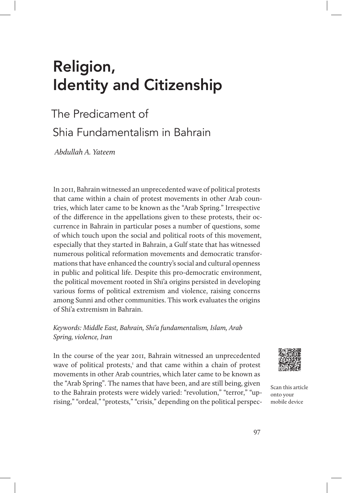# Religion, Identity and Citizenship

# The Predicament of Shia Fundamentalism in Bahrain

Abdullah A. Yateem

In 2011, Bahrain witnessed an unprecedented wave of political protests that came within a chain of protest movements in other Arab countries, which later came to be known as the "Arab Spring." Irrespective of the difference in the appellations given to these protests, their occurrence in Bahrain in particular poses a number of questions, some of which touch upon the social and political roots of this movement, especially that they started in Bahrain, a Gulf state that has witnessed numerous political reformation movements and democratic transformations that have enhanced the country's social and cultural openness in public and political life. Despite this pro-democratic environment, the political movement rooted in Shi'a origins persisted in developing various forms of political extremism and violence, raising concerns among Sunni and other communities. This work evaluates the origins of Shi'a extremism in Bahrain.

# Keywords: Middle East, Bahrain, Shi'a fundamentalism, Islam, Arab Spring, violence, Iran

In the course of the year 2011, Bahrain witnessed an unprecedented wave of political protests,<sup>1</sup> and that came within a chain of protest movements in other Arab countries, which later came to be known as the "Arab Spring". The names that have been, and are still being, given to the Bahrain protests were widely varied: "revolution," "terror," "uprising," "ordeal," "protests," "crisis," depending on the political perspec-



Scan this article onto your mobile device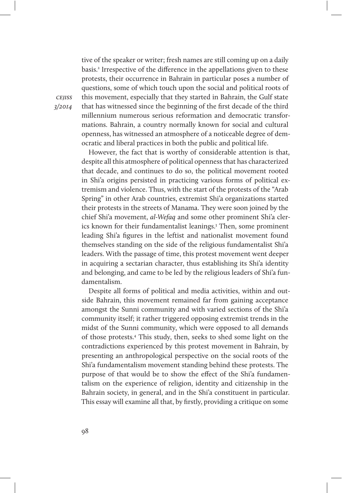tive of the speaker or writer; fresh names are still coming up on a daily basis.<sup>2</sup> Irrespective of the difference in the appellations given to these protests, their occurrence in Bahrain in particular poses a number of questions, some of which touch upon the social and political roots of this movement, especially that they started in Bahrain, the Gulf state that has witnessed since the beginning of the first decade of the third millennium numerous serious reformation and democratic transformations. Bahrain, a country normally known for social and cultural openness, has witnessed an atmosphere of a noticeable degree of democratic and liberal practices in both the public and political life.

However, the fact that is worthy of considerable attention is that, despite all this atmosphere of political openness that has characterized that decade, and continues to do so, the political movement rooted in Shi'a origins persisted in practicing various forms of political extremism and violence. Thus, with the start of the protests of the "Arab Spring" in other Arab countries, extremist Shi'a organizations started their protests in the streets of Manama. They were soon joined by the chief Shi'a movement, al-Wefaq and some other prominent Shi'a clerics known for their fundamentalist leanings.3 Then, some prominent leading Shi'a figures in the leftist and nationalist movement found themselves standing on the side of the religious fundamentalist Shi'a leaders. With the passage of time, this protest movement went deeper in acquiring a sectarian character, thus establishing its Shi'a identity and belonging, and came to be led by the religious leaders of Shi'a fundamentalism.

Despite all forms of political and media activities, within and outside Bahrain, this movement remained far from gaining acceptance amongst the Sunni community and with varied sections of the Shi'a community itself; it rather triggered opposing extremist trends in the midst of the Sunni community, which were opposed to all demands of those protests.4 This study, then, seeks to shed some light on the contradictions experienced by this protest movement in Bahrain, by presenting an anthropological perspective on the social roots of the Shi'a fundamentalism movement standing behind these protests. The purpose of that would be to show the effect of the Shi'a fundamentalism on the experience of religion, identity and citizenship in the Bahrain society, in general, and in the Shi'a constituent in particular. This essay will examine all that, by firstly, providing a critique on some

**CEIISS** 3/2014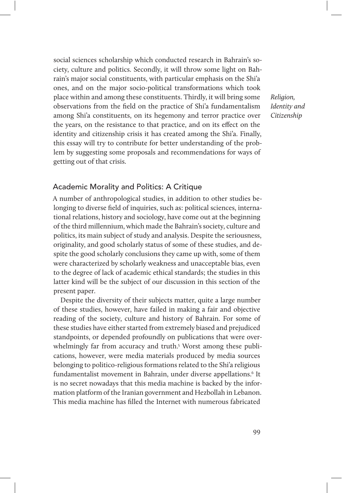social sciences scholarship which conducted research in Bahrain's society, culture and politics. Secondly, it will throw some light on Bahrain's major social constituents, with particular emphasis on the Shi'a ones, and on the major socio-political transformations which took place within and among these constituents. Thirdly, it will bring some observations from the field on the practice of Shi'a fundamentalism among Shi'a constituents, on its hegemony and terror practice over the years, on the resistance to that practice, and on its effect on the identity and citizenship crisis it has created among the Shi'a. Finally, this essay will try to contribute for better understanding of the problem by suggesting some proposals and recommendations for ways of getting out of that crisis.

Religion, Identity and Citizenship

## Academic Morality and Politics: A Critique

A number of anthropological studies, in addition to other studies belonging to diverse field of inquiries, such as: political sciences, international relations, history and sociology, have come out at the beginning of the third millennium, which made the Bahrain's society, culture and politics, its main subject of study and analysis. Despite the seriousness, originality, and good scholarly status of some of these studies, and despite the good scholarly conclusions they came up with, some of them were characterized by scholarly weakness and unacceptable bias, even to the degree of lack of academic ethical standards; the studies in this latter kind will be the subject of our discussion in this section of the present paper.

Despite the diversity of their subjects matter, quite a large number of these studies, however, have failed in making a fair and objective reading of the society, culture and history of Bahrain. For some of these studies have either started from extremely biased and prejudiced standpoints, or depended profoundly on publications that were overwhelmingly far from accuracy and truth.<sup>5</sup> Worst among these publications, however, were media materials produced by media sources belonging to politico-religious formations related to the Shi'a religious fundamentalist movement in Bahrain, under diverse appellations.<sup>6</sup> It is no secret nowadays that this media machine is backed by the information platform of the Iranian government and Hezbollah in Lebanon. This media machine has filled the Internet with numerous fabricated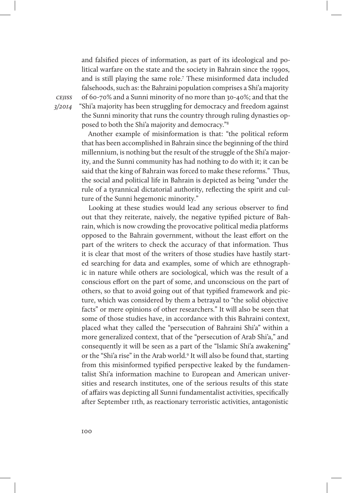and falsified pieces of information, as part of its ideological and political warfare on the state and the society in Bahrain since the 1990s, and is still playing the same role.7 These misinformed data included falsehoods, such as: the Bahraini population comprises a Shi'a majority of 60-70% and a Sunni minority of no more than 30-40%; and that the "Shi'a majority has been struggling for democracy and freedom against the Sunni minority that runs the country through ruling dynasties opposed to both the Shi'a majority and democracy."8

Another example of misinformation is that: "the political reform that has been accomplished in Bahrain since the beginning of the third millennium, is nothing but the result of the struggle of the Shi'a majority, and the Sunni community has had nothing to do with it; it can be said that the king of Bahrain was forced to make these reforms." Thus, the social and political life in Bahrain is depicted as being "under the rule of a tyrannical dictatorial authority, reflecting the spirit and culture of the Sunni hegemonic minority."

Looking at these studies would lead any serious observer to find out that they reiterate, naively, the negative typified picture of Bahrain, which is now crowding the provocative political media platforms opposed to the Bahrain government, without the least effort on the part of the writers to check the accuracy of that information. Thus it is clear that most of the writers of those studies have hastily started searching for data and examples, some of which are ethnographic in nature while others are sociological, which was the result of a conscious effort on the part of some, and unconscious on the part of others, so that to avoid going out of that typified framework and picture, which was considered by them a betrayal to "the solid objective facts" or mere opinions of other researchers." It will also be seen that some of those studies have, in accordance with this Bahraini context, placed what they called the "persecution of Bahraini Shi'a" within a more generalized context, that of the "persecution of Arab Shi'a," and consequently it will be seen as a part of the "Islamic Shi'a awakening" or the "Shi'a rise" in the Arab world.<sup>9</sup> It will also be found that, starting from this misinformed typified perspective leaked by the fundamentalist Shi'a information machine to European and American universities and research institutes, one of the serious results of this state of affairs was depicting all Sunni fundamentalist activities, specifically after September 11th, as reactionary terroristic activities, antagonistic

**CEIISS** 3/2014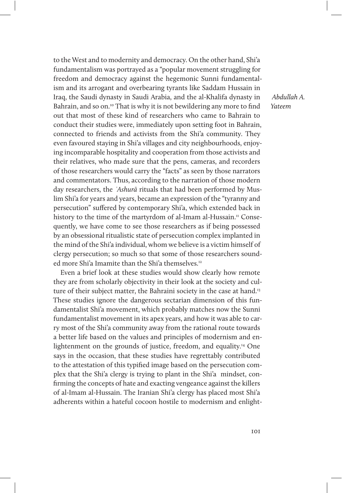to the West and to modernity and democracy. On the other hand, Shi'a fundamentalism was portrayed as a "popular movement struggling for freedom and democracy against the hegemonic Sunni fundamentalism and its arrogant and overbearing tyrants like Saddam Hussain in Iraq, the Saudi dynasty in Saudi Arabia, and the al-Khalifa dynasty in Bahrain, and so on.<sup>10</sup> That is why it is not bewildering any more to find out that most of these kind of researchers who came to Bahrain to conduct their studies were, immediately upon setting foot in Bahrain, connected to friends and activists from the Shi'a community. They even favoured staying in Shi'a villages and city neighbourhoods, enjoying incomparable hospitality and cooperation from those activists and their relatives, who made sure that the pens, cameras, and recorders of those researchers would carry the "facts" as seen by those narrators and commentators. Thus, according to the narration of those modern day researchers, the *ʿ*Ashurā rituals that had been performed by Muslim Shi'a for years and years, became an expression of the "tyranny and persecution" suffered by contemporary Shi'a, which extended back in history to the time of the martyrdom of al-Imam al-Hussain.<sup>11</sup> Consequently, we have come to see those researchers as if being possessed by an obsessional ritualistic state of persecution complex implanted in the mind of the Shi'a individual, whom we believe is a victim himself of clergy persecution; so much so that some of those researchers sounded more Shi'a Imamite than the Shi'a themselves.<sup>12</sup>

Even a brief look at these studies would show clearly how remote they are from scholarly objectivity in their look at the society and culture of their subject matter, the Bahraini society in the case at hand.<sup>13</sup> These studies ignore the dangerous sectarian dimension of this fundamentalist Shi'a movement, which probably matches now the Sunni fundamentalist movement in its apex years, and how it was able to carry most of the Shi'a community away from the rational route towards a better life based on the values and principles of modernism and enlightenment on the grounds of justice, freedom, and equality.14 One says in the occasion, that these studies have regrettably contributed to the attestation of this typified image based on the persecution complex that the Shi'a clergy is trying to plant in the Shi'a mindset, confirming the concepts of hate and exacting vengeance against the killers of al-Imam al-Hussain. The Iranian Shi'a clergy has placed most Shi'a adherents within a hateful cocoon hostile to modernism and enlight-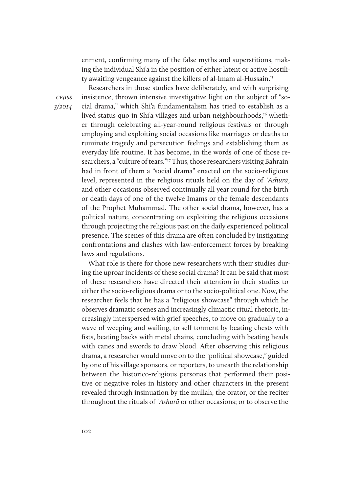enment, confirming many of the false myths and superstitions, making the individual Shi'a in the position of either latent or active hostility awaiting vengeance against the killers of al-Imam al-Hussain.15

**CEIISS** 3/2014

Researchers in those studies have deliberately, and with surprising insistence, thrown intensive investigative light on the subject of "social drama," which Shi'a fundamentalism has tried to establish as a lived status quo in Shi'a villages and urban neighbourhoods,<sup>16</sup> whether through celebrating all-year-round religious festivals or through employing and exploiting social occasions like marriages or deaths to ruminate tragedy and persecution feelings and establishing them as everyday life routine. It has become, in the words of one of those researchers, a "culture of tears."<sup>17</sup> Thus, those researchers visiting Bahrain had in front of them a "social drama" enacted on the socio-religious level, represented in the religious rituals held on the day of *ʿ*Ashurā, and other occasions observed continually all year round for the birth or death days of one of the twelve Imams or the female descendants of the Prophet Muhammad. The other social drama, however, has a political nature, concentrating on exploiting the religious occasions through projecting the religious past on the daily experienced political presence. The scenes of this drama are often concluded by instigating confrontations and clashes with law-enforcement forces by breaking laws and regulations.

What role is there for those new researchers with their studies during the uproar incidents of these social drama? It can be said that most of these researchers have directed their attention in their studies to either the socio-religious drama or to the socio-political one. Now, the researcher feels that he has a "religious showcase" through which he observes dramatic scenes and increasingly climactic ritual rhetoric, increasingly interspersed with grief speeches, to move on gradually to a wave of weeping and wailing, to self torment by beating chests with fists, beating backs with metal chains, concluding with beating heads with canes and swords to draw blood. After observing this religious drama, a researcher would move on to the "political showcase," guided by one of his village sponsors, or reporters, to unearth the relationship between the historico-religious personas that performed their positive or negative roles in history and other characters in the present revealed through insinuation by the mullah, the orator, or the reciter throughout the rituals of *ʿ*Ashurā or other occasions; or to observe the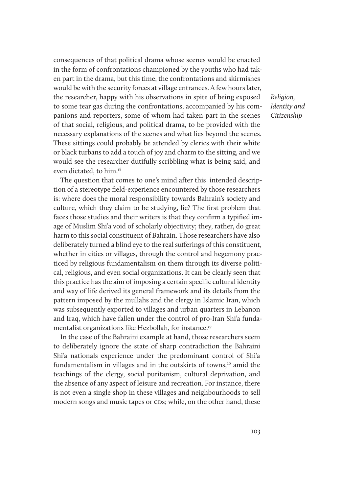consequences of that political drama whose scenes would be enacted in the form of confrontations championed by the youths who had taken part in the drama, but this time, the confrontations and skirmishes would be with the security forces at village entrances. A few hours later, the researcher, happy with his observations in spite of being exposed to some tear gas during the confrontations, accompanied by his companions and reporters, some of whom had taken part in the scenes of that social, religious, and political drama, to be provided with the necessary explanations of the scenes and what lies beyond the scenes. These sittings could probably be attended by clerics with their white or black turbans to add a touch of joy and charm to the sitting, and we would see the researcher dutifully scribbling what is being said, and even dictated, to him.<sup>18</sup>

The question that comes to one's mind after this intended description of a stereotype field-experience encountered by those researchers is: where does the moral responsibility towards Bahrain's society and culture, which they claim to be studying, lie? The first problem that faces those studies and their writers is that they confirm a typified image of Muslim Shi'a void of scholarly objectivity; they, rather, do great harm to this social constituent of Bahrain. Those researchers have also deliberately turned a blind eye to the real sufferings of this constituent, whether in cities or villages, through the control and hegemony practiced by religious fundamentalism on them through its diverse political, religious, and even social organizations. It can be clearly seen that this practice has the aim of imposing a certain specific cultural identity and way of life derived its general framework and its details from the pattern imposed by the mullahs and the clergy in Islamic Iran, which was subsequently exported to villages and urban quarters in Lebanon and Iraq, which have fallen under the control of pro-Iran Shi'a fundamentalist organizations like Hezbollah, for instance.<sup>19</sup>

In the case of the Bahraini example at hand, those researchers seem to deliberately ignore the state of sharp contradiction the Bahraini Shi'a nationals experience under the predominant control of Shi'a fundamentalism in villages and in the outskirts of towns,<sup>20</sup> amid the teachings of the clergy, social puritanism, cultural deprivation, and the absence of any aspect of leisure and recreation. For instance, there is not even a single shop in these villages and neighbourhoods to sell modern songs and music tapes or CDs; while, on the other hand, these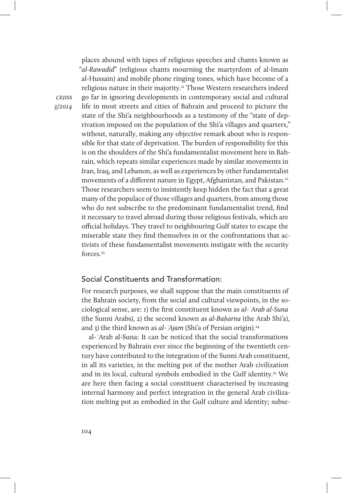places abound with tapes of religious speeches and chants known as "al-Rawadid" (religious chants mourning the martyrdom of al-Imam al-Hussain) and mobile phone ringing tones, which have become of a religious nature in their majority.21 Those Western researchers indeed go far in ignoring developments in contemporary social and cultural life in most streets and cities of Bahrain and proceed to picture the state of the Shi'a neighbourhoods as a testimony of the "state of deprivation imposed on the population of the Shi'a villages and quarters," without, naturally, making any objective remark about who is responsible for that state of deprivation. The burden of responsibility for this is on the shoulders of the Shi'a fundamentalist movement here in Bahrain, which repeats similar experiences made by similar movements in Iran, Iraq, and Lebanon, as well as experiences by other fundamentalist movements of a different nature in Egypt, Afghanistan, and Pakistan.<sup>22</sup> Those researchers seem to insistently keep hidden the fact that a great many of the populace of those villages and quarters, from among those who do not subscribe to the predominant fundamentalist trend, find it necessary to travel abroad during those religious festivals, which are official holidays. They travel to neighbouring Gulf states to escape the miserable state they find themselves in or the confrontations that activists of these fundamentalist movements instigate with the security forces.<sup>23</sup>

# Social Constituents and Transformation:

For research purposes, we shall suppose that the main constituents of the Bahrain society, from the social and cultural viewpoints, in the sociological sense, are: 1) the first constituent known as al-*ʿ*Arab al-Suna (the Sunni Arabs), 2) the second known as al-Ba*ḥ*arna (the Arab Shi'a), and 3) the third known as al-*`Ajam* (Shi'a of Persian origin).<sup>24</sup>

al-ʿArab al-Suna: It can be noticed that the social transformations experienced by Bahrain ever since the beginning of the twentieth century have contributed to the integration of the Sunni Arab constituent, in all its varieties, in the melting pot of the mother Arab civilization and in its local, cultural symbols embodied in the Gulf identity.<sup>25</sup> We are here then facing a social constituent characterised by increasing internal harmony and perfect integration in the general Arab civilization melting pot as embodied in the Gulf culture and identity; subse-

cejiss 3/2014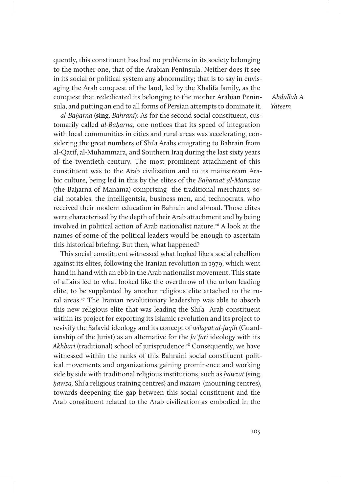quently, this constituent has had no problems in its society belonging to the mother one, that of the Arabian Peninsula. Neither does it see in its social or political system any abnormality; that is to say in envisaging the Arab conquest of the land, led by the Khalifa family, as the conquest that rededicated its belonging to the mother Arabian Peninsula, and putting an end to all forms of Persian attempts to dominate it.

al-Ba*ḥ*arna **(sing.** Bahrani**)**: As for the second social constituent, customarily called al-Ba*ḥ*arna, one notices that its speed of integration with local communities in cities and rural areas was accelerating, considering the great numbers of Shi'a Arabs emigrating to Bahrain from al-Qatif, al-Muhammara, and Southern Iraq during the last sixty years of the twentieth century. The most prominent attachment of this constituent was to the Arab civilization and to its mainstream Arabic culture, being led in this by the elites of the Ba*ḥ*arnat al-Manama (the Baḥarna of Manama) comprising the traditional merchants, social notables, the intelligentsia, business men, and technocrats, who received their modern education in Bahrain and abroad. Those elites were characterised by the depth of their Arab attachment and by being involved in political action of Arab nationalist nature.<sup>26</sup> A look at the names of some of the political leaders would be enough to ascertain this historical briefing. But then, what happened?

This social constituent witnessed what looked like a social rebellion against its elites, following the Iranian revolution in 1979, which went hand in hand with an ebb in the Arab nationalist movement. This state of affairs led to what looked like the overthrow of the urban leading elite, to be supplanted by another religious elite attached to the rural areas.<sup>27</sup> The Iranian revolutionary leadership was able to absorb this new religious elite that was leading the Shi'a Arab constituent within its project for exporting its Islamic revolution and its project to revivify the Safavid ideology and its concept of wilayat al-faqih (Guardianship of the Jurist) as an alternative for the  $Ia$  *fari* ideology with its Akhbari (traditional) school of jurisprudence.<sup>28</sup> Consequently, we have witnessed within the ranks of this Bahraini social constituent political movements and organizations gaining prominence and working side by side with traditional religious institutions, such as *ḥ*awzat (sing. *ḥ*awza, Shi'a religious training centres) and mātam (mourning centres), towards deepening the gap between this social constituent and the Arab constituent related to the Arab civilization as embodied in the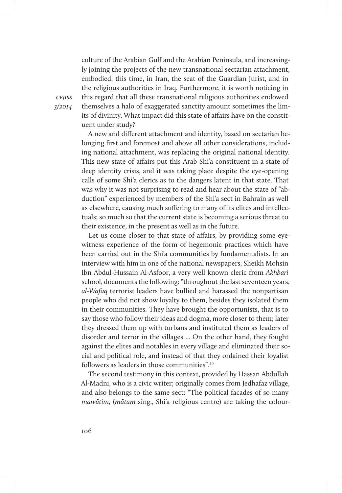culture of the Arabian Gulf and the Arabian Peninsula, and increasingly joining the projects of the new transnational sectarian attachment, embodied, this time, in Iran, the seat of the Guardian Jurist, and in the religious authorities in Iraq. Furthermore, it is worth noticing in this regard that all these transnational religious authorities endowed themselves a halo of exaggerated sanctity amount sometimes the limits of divinity. What impact did this state of affairs have on the constituent under study?

A new and different attachment and identity, based on sectarian belonging first and foremost and above all other considerations, including national attachment, was replacing the original national identity. This new state of affairs put this Arab Shi'a constituent in a state of deep identity crisis, and it was taking place despite the eye-opening calls of some Shi'a clerics as to the dangers latent in that state. That was why it was not surprising to read and hear about the state of "abduction" experienced by members of the Shi'a sect in Bahrain as well as elsewhere, causing much suffering to many of its elites and intellectuals; so much so that the current state is becoming a serious threat to their existence, in the present as well as in the future.

Let us come closer to that state of affairs, by providing some eyewitness experience of the form of hegemonic practices which have been carried out in the Shi'a communities by fundamentalists. In an interview with him in one of the national newspapers, Sheikh Mohsin Ibn Abdul-Hussain Al-Asfoor, a very well known cleric from Akhbari school, documents the following: "throughout the last seventeen years, al-Wafaq terrorist leaders have bullied and harassed the nonpartisan people who did not show loyalty to them, besides they isolated them in their communities. They have brought the opportunists, that is to say those who follow their ideas and dogma, more closer to them; later they dressed them up with turbans and instituted them as leaders of disorder and terror in the villages ... On the other hand, they fought against the elites and notables in every village and eliminated their social and political role, and instead of that they ordained their loyalist followers as leaders in those communities".29

The second testimony in this context, provided by Hassan Abdullah Al-Madni, who is a civic writer; originally comes from Jedhafaz village, and also belongs to the same sect: "The political facades of so many mawātim, (mātam sing., Shi'a religious centre) are taking the colour-

cejiss 3/2014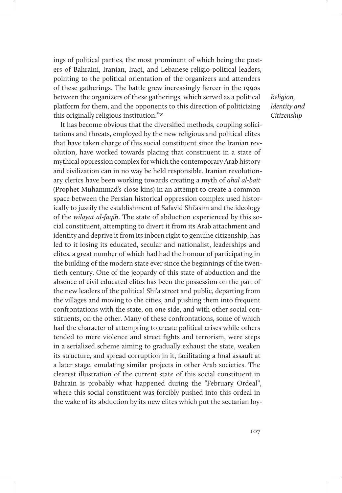ings of political parties, the most prominent of which being the posters of Bahraini, Iranian, Iraqi, and Lebanese religio-political leaders, pointing to the political orientation of the organizers and attenders of these gatherings. The battle grew increasingly fiercer in the 1990s between the organizers of these gatherings, which served as a political platform for them, and the opponents to this direction of politicizing this originally religious institution."30

It has become obvious that the diversified methods, coupling solicitations and threats, employed by the new religious and political elites that have taken charge of this social constituent since the Iranian revolution, have worked towards placing that constituent in a state of mythical oppression complex for which the contemporary Arab history and civilization can in no way be held responsible. Iranian revolutionary clerics have been working towards creating a myth of ahal al-bait (Prophet Muhammad's close kins) in an attempt to create a common space between the Persian historical oppression complex used historically to justify the establishment of Safavid Shi'asim and the ideology of the wilayat al-faqih. The state of abduction experienced by this social constituent, attempting to divert it from its Arab attachment and identity and deprive it from its inborn right to genuine citizenship, has led to it losing its educated, secular and nationalist, leaderships and elites, a great number of which had had the honour of participating in the building of the modern state ever since the beginnings of the twentieth century. One of the jeopardy of this state of abduction and the absence of civil educated elites has been the possession on the part of the new leaders of the political Shi'a street and public, departing from the villages and moving to the cities, and pushing them into frequent confrontations with the state, on one side, and with other social constituents, on the other. Many of these confrontations, some of which had the character of attempting to create political crises while others tended to mere violence and street fights and terrorism, were steps in a serialized scheme aiming to gradually exhaust the state, weaken its structure, and spread corruption in it, facilitating a final assault at a later stage, emulating similar projects in other Arab societies. The clearest illustration of the current state of this social constituent in Bahrain is probably what happened during the "February Ordeal", where this social constituent was forcibly pushed into this ordeal in the wake of its abduction by its new elites which put the sectarian loy-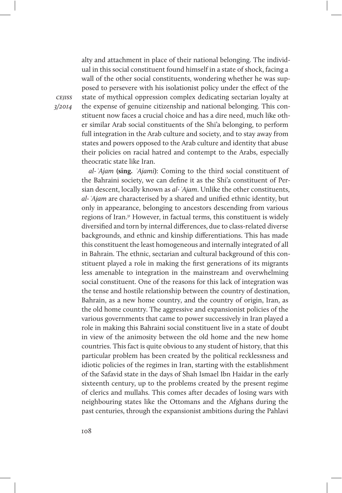alty and attachment in place of their national belonging. The individual in this social constituent found himself in a state of shock, facing a wall of the other social constituents, wondering whether he was supposed to persevere with his isolationist policy under the effect of the state of mythical oppression complex dedicating sectarian loyalty at the expense of genuine citizenship and national belonging. This constituent now faces a crucial choice and has a dire need, much like other similar Arab social constituents of the Shi'a belonging, to perform full integration in the Arab culture and society, and to stay away from states and powers opposed to the Arab culture and identity that abuse their policies on racial hatred and contempt to the Arabs, especially theocratic state like Iran.

al-*ʿ*Ajam **(sing.** *ʿ*Ajami**)**: Coming to the third social constituent of the Bahraini society, we can define it as the Shi'a constituent of Persian descent, locally known as al-*ʿ*Ajam. Unlike the other constituents, al-*ʿ*Ajam are characterised by a shared and unified ethnic identity, but only in appearance, belonging to ancestors descending from various regions of Iran.31 However, in factual terms, this constituent is widely diversified and torn by internal differences, due to class-related diverse backgrounds, and ethnic and kinship differentiations. This has made this constituent the least homogeneous and internally integrated of all in Bahrain. The ethnic, sectarian and cultural background of this constituent played a role in making the first generations of its migrants less amenable to integration in the mainstream and overwhelming social constituent. One of the reasons for this lack of integration was the tense and hostile relationship between the country of destination, Bahrain, as a new home country, and the country of origin, Iran, as the old home country. The aggressive and expansionist policies of the various governments that came to power successively in Iran played a role in making this Bahraini social constituent live in a state of doubt in view of the animosity between the old home and the new home countries. This fact is quite obvious to any student of history, that this particular problem has been created by the political recklessness and idiotic policies of the regimes in Iran, starting with the establishment of the Safavid state in the days of Shah Ismael Ibn Haidar in the early sixteenth century, up to the problems created by the present regime of clerics and mullahs. This comes after decades of losing wars with neighbouring states like the Ottomans and the Afghans during the past centuries, through the expansionist ambitions during the Pahlavi

**CEIISS** 3/2014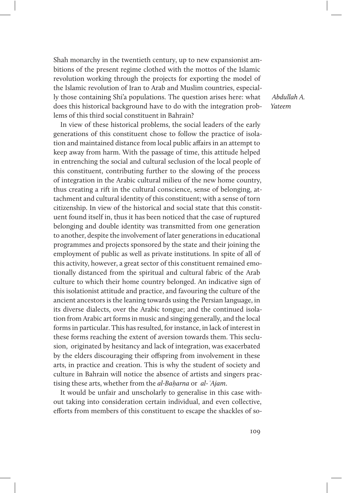Shah monarchy in the twentieth century, up to new expansionist ambitions of the present regime clothed with the mottos of the Islamic revolution working through the projects for exporting the model of the Islamic revolution of Iran to Arab and Muslim countries, especially those containing Shi'a populations. The question arises here: what does this historical background have to do with the integration problems of this third social constituent in Bahrain?

In view of these historical problems, the social leaders of the early generations of this constituent chose to follow the practice of isolation and maintained distance from local public affairs in an attempt to keep away from harm. With the passage of time, this attitude helped in entrenching the social and cultural seclusion of the local people of this constituent, contributing further to the slowing of the process of integration in the Arabic cultural milieu of the new home country, thus creating a rift in the cultural conscience, sense of belonging, attachment and cultural identity of this constituent; with a sense of torn citizenship. In view of the historical and social state that this constituent found itself in, thus it has been noticed that the case of ruptured belonging and double identity was transmitted from one generation to another, despite the involvement of later generations in educational programmes and projects sponsored by the state and their joining the employment of public as well as private institutions. In spite of all of this activity, however, a great sector of this constituent remained emotionally distanced from the spiritual and cultural fabric of the Arab culture to which their home country belonged. An indicative sign of this isolationist attitude and practice, and favouring the culture of the ancient ancestors is the leaning towards using the Persian language, in its diverse dialects, over the Arabic tongue; and the continued isolation from Arabic art forms in music and singing generally, and the local forms in particular. This has resulted, for instance, in lack of interest in these forms reaching the extent of aversion towards them. This seclusion, originated by hesitancy and lack of integration, was exacerbated by the elders discouraging their offspring from involvement in these arts, in practice and creation. This is why the student of society and culture in Bahrain will notice the absence of artists and singers practising these arts, whether from the al-Ba*ḥ*arna or al-*ʿ*Ajam.

It would be unfair and unscholarly to generalise in this case without taking into consideration certain individual, and even collective, efforts from members of this constituent to escape the shackles of so-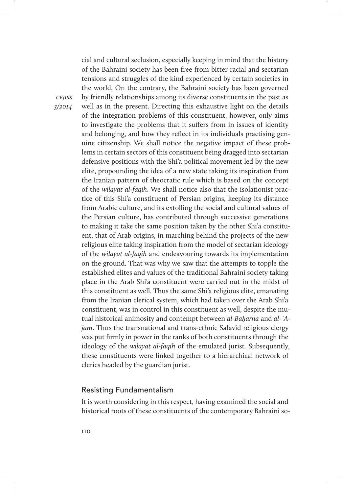cial and cultural seclusion, especially keeping in mind that the history of the Bahraini society has been free from bitter racial and sectarian tensions and struggles of the kind experienced by certain societies in the world. On the contrary, the Bahraini society has been governed by friendly relationships among its diverse constituents in the past as well as in the present. Directing this exhaustive light on the details of the integration problems of this constituent, however, only aims to investigate the problems that it suffers from in issues of identity and belonging, and how they reflect in its individuals practising genuine citizenship. We shall notice the negative impact of these problems in certain sectors of this constituent being dragged into sectarian defensive positions with the Shi'a political movement led by the new elite, propounding the idea of a new state taking its inspiration from the Iranian pattern of theocratic rule which is based on the concept of the wilayat al-faqih. We shall notice also that the isolationist practice of this Shi'a constituent of Persian origins, keeping its distance from Arabic culture, and its extolling the social and cultural values of the Persian culture, has contributed through successive generations to making it take the same position taken by the other Shi'a constituent, that of Arab origins, in marching behind the projects of the new religious elite taking inspiration from the model of sectarian ideology of the wilayat al-faqih and endeavouring towards its implementation on the ground. That was why we saw that the attempts to topple the established elites and values of the traditional Bahraini society taking place in the Arab Shi'a constituent were carried out in the midst of this constituent as well. Thus the same Shi'a religious elite, emanating from the Iranian clerical system, which had taken over the Arab Shi'a constituent, was in control in this constituent as well, despite the mutual historical animosity and contempt between al-Ba*ḥ*arna and al-*ʿ*Ajam. Thus the transnational and trans-ethnic Safavid religious clergy was put firmly in power in the ranks of both constituents through the ideology of the *wilayat al-faqih* of the emulated jurist. Subsequently, these constituents were linked together to a hierarchical network of clerics headed by the guardian jurist.

### Resisting Fundamentalism

It is worth considering in this respect, having examined the social and historical roots of these constituents of the contemporary Bahraini so-

**CEIISS** 3/2014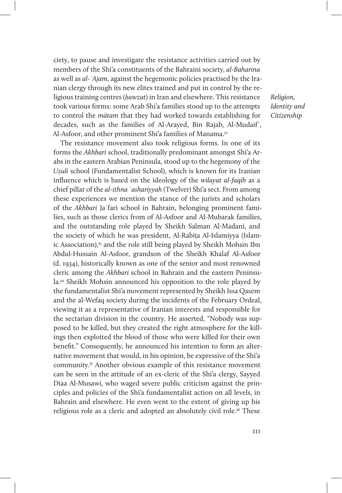ciety, to pause and investigate the resistance activities carried out by members of the Shi'a constituents of the Bahraini society, al-Baharina as well as al-*ʿ*Ajam, against the hegemonic policies practised by the Iranian clergy through its new elites trained and put in control by the religious training centres (*ḥ*awzat) in Iran and elsewhere. This resistance took various forms: some Arab Shi'a families stood up to the attempts to control the mātam that they had worked towards establishing for decades, such as the families of Al-Arayed, Bin Rajab, Al-Mudaif<sup>'</sup>, Al-Asfoor, and other prominent Shi'a families of Manama.<sup>32</sup>

The resistance movement also took religious forms. In one of its forms the Akhbari school, traditionally predominant amongst Shi'a Arabs in the eastern Arabian Peninsula, stood up to the hegemony of the U*ṣ*uli school (Fundamentalist School), which is known for its Iranian influence which is based on the ideology of the wilayat al-faqih as a chief pillar of the al-ithna 'ashariyyah (Twelver) Shi'a sect. From among these experiences we mention the stance of the jurists and scholars of the Akhbari Jaʿfari school in Bahrain, belonging prominent families, such as those clerics from of Al-Asfoor and Al-Mubarak families, and the outstanding role played by Sheikh Salman Al-Madani, and the society of which he was president, Al-Rabiṭa Al-Islamiyya (Islamic Association),<sup>33</sup> and the role still being played by Sheikh Mohsin Ibn Abdul-Hussain Al-Asfoor, grandson of the Sheikh Khalaf Al-Asfoor (d. 1934), historically known as one of the senior and most renowned cleric among the Akhbari school in Bahrain and the eastern Peninsula.34 Sheikh Mohsin announced his opposition to the role played by the fundamentalist Shi'a movement represented by Sheikh Issa Qasem and the al-Wefaq society during the incidents of the February Ordeal, viewing it as a representative of Iranian interests and responsible for the sectarian division in the country. He asserted, "Nobody was supposed to be killed, but they created the right atmosphere for the killings then exploited the blood of those who were killed for their own benefit." Consequently, he announced his intention to form an alternative movement that would, in his opinion, be expressive of the Shi'a community.35 Another obvious example of this resistance movement can be seen in the attitude of an ex-cleric of the Shi'a clergy, Sayyed Diaa Al-Musawi, who waged severe public criticism against the principles and policies of the Shi'a fundamentalist action on all levels, in Bahrain and elsewhere. He even went to the extent of giving up his religious role as a cleric and adopted an absolutely civil role.<sup>36</sup> These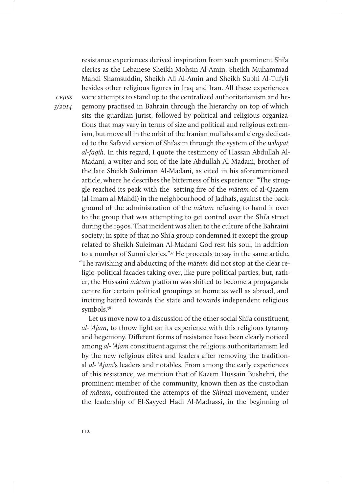cejiss 3/2014 Mahdi Shamsuddin, Sheikh Ali Al-Amin and Sheikh Subhi Al-Tufyli besides other religious figures in Iraq and Iran. All these experiences were attempts to stand up to the centralized authoritarianism and hegemony practised in Bahrain through the hierarchy on top of which sits the guardian jurist, followed by political and religious organizations that may vary in terms of size and political and religious extrem-

ism, but move all in the orbit of the Iranian mullahs and clergy dedicated to the Safavid version of Shi'asim through the system of the wilayat al-faqih. In this regard, I quote the testimony of Hassan Abdullah Al-Madani, a writer and son of the late Abdullah Al-Madani, brother of the late Sheikh Suleiman Al-Madani, as cited in his aforementioned article, where he describes the bitterness of his experience: "The struggle reached its peak with the setting fire of the mātam of al-Qaaem (al-Imam al-Mahdi) in the neighbourhood of Jadhafs, against the background of the administration of the mātam refusing to hand it over to the group that was attempting to get control over the Shi'a street during the 1990s. That incident was alien to the culture of the Bahraini society; in spite of that no Shi'a group condemned it except the group related to Sheikh Suleiman Al-Madani God rest his soul, in addition to a number of Sunni clerics."37 He proceeds to say in the same article, "The ravishing and abducting of the mātam did not stop at the clear religio-political facades taking over, like pure political parties, but, rather, the Hussaini mātam platform was shifted to become a propaganda centre for certain political groupings at home as well as abroad, and inciting hatred towards the state and towards independent religious symbols.<sup>38</sup>

resistance experiences derived inspiration from such prominent Shi'a clerics as the Lebanese Sheikh Mohsin Al-Amin, Sheikh Muhammad

Let us move now to a discussion of the other social Shi'a constituent, al-*ʿ*Ajam, to throw light on its experience with this religious tyranny and hegemony. Different forms of resistance have been clearly noticed among al-*ʿ*Ajam constituent against the religious authoritarianism led by the new religious elites and leaders after removing the traditional al-*ʿ*Ajam's leaders and notables. From among the early experiences of this resistance, we mention that of Kazem Hussain Bushehri, the prominent member of the community, known then as the custodian of mātam, confronted the attempts of the Shirazi movement, under the leadership of El-Sayyed Hadi Al-Madrassi, in the beginning of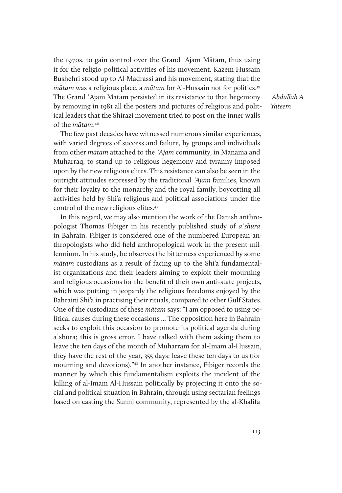the 1970s, to gain control over the Grand ʿAjam Mātam, thus using it for the religio-political activities of his movement. Kazem Hussain Bushehri stood up to Al-Madrassi and his movement, stating that the mātam was a religious place, a mātam for Al-Hussain not for politics.39 The Grand ʿAjam Mātam persisted in its resistance to that hegemony by removing in 1981 all the posters and pictures of religious and political leaders that the Shirazi movement tried to post on the inner walls of the mātam. 40

The few past decades have witnessed numerous similar experiences, with varied degrees of success and failure, by groups and individuals from other mātam attached to the *ʿ*Ajam community, in Manama and Muharraq, to stand up to religious hegemony and tyranny imposed upon by the new religious elites. This resistance can also be seen in the outright attitudes expressed by the traditional *ʿ*Ajam families, known for their loyalty to the monarchy and the royal family, boycotting all activities held by Shi'a religious and political associations under the control of the new religious elites.<sup>41</sup>

In this regard, we may also mention the work of the Danish anthropologist Thomas Fibiger in his recently published study of aʿshura in Bahrain. Fibiger is considered one of the numbered European anthropologists who did field anthropological work in the present millennium. In his study, he observes the bitterness experienced by some mātam custodians as a result of facing up to the Shi'a fundamentalist organizations and their leaders aiming to exploit their mourning and religious occasions for the benefit of their own anti-state projects, which was putting in jeopardy the religious freedoms enjoyed by the Bahraini Shi'a in practising their rituals, compared to other Gulf States. One of the custodians of these mātam says: "I am opposed to using political causes during these occasions ... The opposition here in Bahrain seeks to exploit this occasion to promote its political agenda during aʿshura; this is gross error. I have talked with them asking them to leave the ten days of the month of Muharram for al-Imam al-Hussain, they have the rest of the year, 355 days; leave these ten days to us (for mourning and devotions)."42 In another instance, Fibiger records the manner by which this fundamentalism exploits the incident of the killing of al-Imam Al-Hussain politically by projecting it onto the social and political situation in Bahrain, through using sectarian feelings based on casting the Sunni community, represented by the al-Khalifa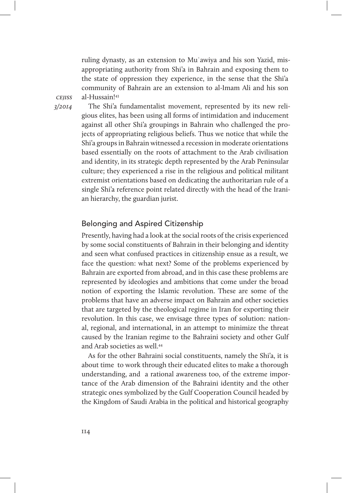ruling dynasty, as an extension to Muʿawiya and his son Yazid, misappropriating authority from Shi'a in Bahrain and exposing them to the state of oppression they experience, in the sense that the Shi'a community of Bahrain are an extension to al-Imam Ali and his son al-Hussain!43

**CEIISS** 3/2014

The Shi'a fundamentalist movement, represented by its new religious elites, has been using all forms of intimidation and inducement against all other Shi'a groupings in Bahrain who challenged the projects of appropriating religious beliefs. Thus we notice that while the Shi'a groups in Bahrain witnessed a recession in moderate orientations based essentially on the roots of attachment to the Arab civilisation and identity, in its strategic depth represented by the Arab Peninsular culture; they experienced a rise in the religious and political militant extremist orientations based on dedicating the authoritarian rule of a single Shi'a reference point related directly with the head of the Iranian hierarchy, the guardian jurist.

#### Belonging and Aspired Citizenship

Presently, having had a look at the social roots of the crisis experienced by some social constituents of Bahrain in their belonging and identity and seen what confused practices in citizenship ensue as a result, we face the question: what next? Some of the problems experienced by Bahrain are exported from abroad, and in this case these problems are represented by ideologies and ambitions that come under the broad notion of exporting the Islamic revolution. These are some of the problems that have an adverse impact on Bahrain and other societies that are targeted by the theological regime in Iran for exporting their revolution. In this case, we envisage three types of solution: national, regional, and international, in an attempt to minimize the threat caused by the Iranian regime to the Bahraini society and other Gulf and Arab societies as well.44

As for the other Bahraini social constituents, namely the Shi'a, it is about time to work through their educated elites to make a thorough understanding, and a rational awareness too, of the extreme importance of the Arab dimension of the Bahraini identity and the other strategic ones symbolized by the Gulf Cooperation Council headed by the Kingdom of Saudi Arabia in the political and historical geography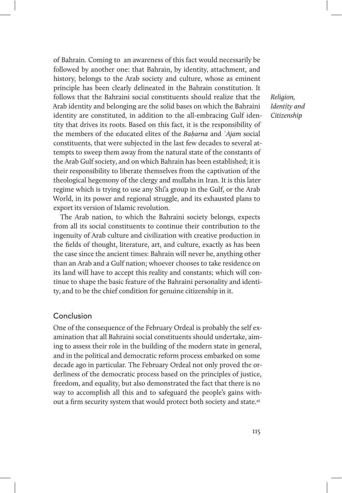of Bahrain. Coming to an awareness of this fact would necessarily be followed by another one: that Bahrain, by identity, attachment, and history, belongs to the Arab society and culture, whose as eminent principle has been clearly delineated in the Bahrain constitution. It follows that the Bahraini social constituents should realize that the Arab identity and belonging are the solid bases on which the Bahraini identity are constituted, in addition to the all-embracing Gulf identity that drives its roots. Based on this fact, it is the responsibility of the members of the educated elites of the Ba*ḥ*arna and ʿAjam social constituents, that were subjected in the last few decades to several attempts to sweep them away from the natural state of the constants of the Arab Gulf society, and on which Bahrain has been established; it is their responsibility to liberate themselves from the captivation of the theological hegemony of the clergy and mullahs in Iran. It is this later regime which is trying to use any Shi'a group in the Gulf, or the Arab World, in its power and regional struggle, and its exhausted plans to export its version of Islamic revolution.

The Arab nation, to which the Bahraini society belongs, expects from all its social constituents to continue their contribution to the ingenuity of Arab culture and civilization with creative production in the fields of thought, literature, art, and culture, exactly as has been the case since the ancient times: Bahrain will never be, anything other than an Arab and a Gulf nation; whoever chooses to take residence on its land will have to accept this reality and constants; which will continue to shape the basic feature of the Bahraini personality and identity, and to be the chief condition for genuine citizenship in it.

#### Conclusion

One of the consequence of the February Ordeal is probably the self examination that all Bahraini social constituents should undertake, aiming to assess their role in the building of the modern state in general, and in the political and democratic reform process embarked on some decade ago in particular. The February Ordeal not only proved the orderliness of the democratic process based on the principles of justice, freedom, and equality, but also demonstrated the fact that there is no way to accomplish all this and to safeguard the people's gains without a firm security system that would protect both society and state.45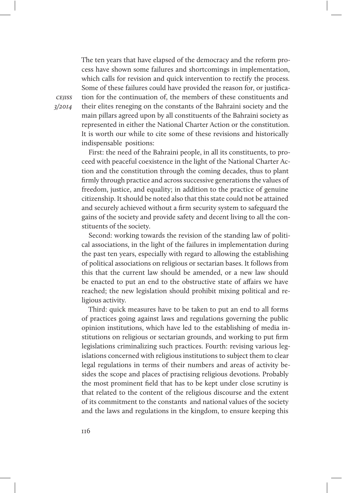The ten years that have elapsed of the democracy and the reform process have shown some failures and shortcomings in implementation, which calls for revision and quick intervention to rectify the process. Some of these failures could have provided the reason for, or justification for the continuation of, the members of these constituents and their elites reneging on the constants of the Bahraini society and the main pillars agreed upon by all constituents of the Bahraini society as represented in either the National Charter Action or the constitution. It is worth our while to cite some of these revisions and historically indispensable positions:

First: the need of the Bahraini people, in all its constituents, to proceed with peaceful coexistence in the light of the National Charter Action and the constitution through the coming decades, thus to plant firmly through practice and across successive generations the values of freedom, justice, and equality; in addition to the practice of genuine citizenship. It should be noted also that this state could not be attained and securely achieved without a firm security system to safeguard the gains of the society and provide safety and decent living to all the constituents of the society.

Second: working towards the revision of the standing law of political associations, in the light of the failures in implementation during the past ten years, especially with regard to allowing the establishing of political associations on religious or sectarian bases. It follows from this that the current law should be amended, or a new law should be enacted to put an end to the obstructive state of affairs we have reached; the new legislation should prohibit mixing political and religious activity.

Third: quick measures have to be taken to put an end to all forms of practices going against laws and regulations governing the public opinion institutions, which have led to the establishing of media institutions on religious or sectarian grounds, and working to put firm legislations criminalizing such practices. Fourth: revising various legislations concerned with religious institutions to subject them to clear legal regulations in terms of their numbers and areas of activity besides the scope and places of practising religious devotions. Probably the most prominent field that has to be kept under close scrutiny is that related to the content of the religious discourse and the extent of its commitment to the constants and national values of the society and the laws and regulations in the kingdom, to ensure keeping this

**CEIISS** 3/2014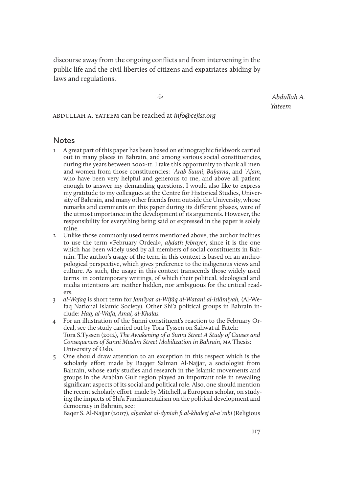discourse away from the ongoing conflicts and from intervening in the public life and the civil liberties of citizens and expatriates abiding by laws and regulations.

&

abdullah a. yateem can be reached at info@cejiss.org

**Notes** 

- 1 A great part of this paper has been based on ethnographic fieldwork carried out in many places in Bahrain, and among various social constituencies, during the years between 2002-11. I take this opportunity to thank all men and women from those constituencies: ʿArab Suuni, Ba*ḥ*arna, and ʿAjam, who have been very helpful and generous to me, and above all patient enough to answer my demanding questions. I would also like to express my gratitude to my colleagues at the Centre for Historical Studies, University of Bahrain, and many other friends from outside the University, whose remarks and comments on this paper during its different phases, were of the utmost importance in the development of its arguments. However, the responsibility for everything being said or expressed in the paper is solely mine.
- 2 Unlike those commonly used terms mentioned above, the author inclines to use the term «February Ordeal», a*ḥ*dath febrayer, since it is the one which has been widely used by all members of social constituents in Bahrain. The author's usage of the term in this context is based on an anthropological perspective, which gives preference to the indigenous views and culture. As such, the usage in this context transcends those widely used terms in contemporary writings, of which their political, ideological and media intentions are neither hidden, nor ambiguous for the critical readers.
- 3 al-Wefaq is short term for Jam'īyat al-Wifāq al-Watanī al-Islāmīyah, (Al-Wefaq National Islamic Society). Other Shi'a political groups in Bahrain include: Haq, al-Wafa, Amal, al-Khalas.
- 4 For an illustration of the Sunni constituent's reaction to the February Ordeal, see the study carried out by Tora Tyssen on Sahwat al-Fateh: Tora S.Tyssen (2012), The Awakening of a Sunni Street A Study of Causes and Consequences of Sunni Muslim Street Mobilization in Bahrain, ma Thesis: University of Oslo.
- 5 One should draw attention to an exception in this respect which is the scholarly effort made by Baqqer Salman Al-Najjar, a sociologist from Bahrain, whose early studies and research in the Islamic movements and groups in the Arabian Gulf region played an important role in revealing significant aspects of its social and political role. Also, one should mention the recent scholarly effort made by Mitchell, a European scholar, on studying the impacts of Shi'a Fundamentalism on the political development and democracy in Bahrain, see:

Baqer S. Al-Najjar (2007), al*ḥ*arkat al-dyniah fi al-khaleej al-aʿrabi (Religious

 Abdullah A. Yateem

117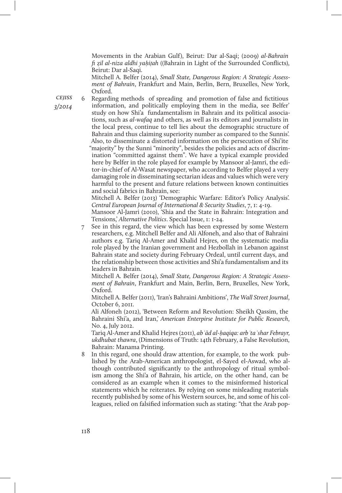Movements in the Arabian Gulf), Beirut: Dar al-Saqi; (2009) al-Bahrain fi ẓil al-niza aldhi ya*ḥ*i*ṭ*ah ((Bahrain in Light of the Surrounded Conflicts), Beirut: Dar al-Saqi.

Mitchell A. Belfer (2014), Small State, Dangerous Region: A Strategic Assessment of Bahrain, Frankfurt and Main, Berlin, Bern, Bruxelles, New York, Oxford.

**CEIISS** 3/2014

6 Regarding methods of spreading and promotion of false and fictitious information, and politically employing them in the media, see Belfer' study on how Shi'a fundamentalism in Bahrain and its political associations, such as al-wafaq and others, as well as its editors and journalists in the local press, continue to tell lies about the demographic structure of Bahrain and thus claiming superiority number as compared to the Sunnis'. Also, to disseminate a distorted information on the persecution of Shi'ite "majority" by the Sunni "minority", besides the policies and acts of discrimination "committed against them". We have a typical example provided here by Belfer in the role played for example by Mansoor al-Jamri, the editor-in-chief of Al-Wasat newspaper, who according to Belfer played a very damaging role in disseminating sectarian ideas and values which were very harmful to the present and future relations between known continuities and social fabrics in Bahrain, see:

Mitchell A. Belfer (2013) 'Demographic Warfare: Editor's Policy Analysis'. Central European Journal of International & Security Studies, 7, 1: 4-19.

Mansoor Al-Jamri (2010), 'Shia and the State in Bahrain: Integration and Tensions,' Alternative Politics. Special Issue, 1: 1-24.

See in this regard, the view which has been expressed by some Western researchers, e.g. Mitchell Belfer and Ali Alfoneh, and also that of Bahraini authors e.g. Tariq Al-Amer and Khalid Hejres, on the systematic media role played by the Iranian government and Hezbollah in Lebanon against Bahrain state and society during February Ordeal, until current days, and the relationship between those activities and Shi'a fundamentalism and its leaders in Bahrain.

Mitchell A. Belfer (2014), Small State, Dangerous Region: A Strategic Assessment of Bahrain, Frankfurt and Main, Berlin, Bern, Bruxelles, New York, Oxford.

Mitchell A. Belfer (2011), 'Iran's Bahraini Ambitions', The Wall Street Journal, October 6, 2011.

Ali Alfoneh (2012), 'Between Reform and Revolution: Sheikh Qassim, the Bahraini Shi'a, and Iran,' American Enterpirse Institute for Public Research, No. 4, July 2012.

Tariq Al-Amer and Khalid Hejres (2011), ab*ʿ*ād al-*ḥ*aqiqa: arb*ʿ*ta*ʿ*shar Febrayr, ukdhubat thawra, (Dimensions of Truth: 14th February, a False Revolution, Bahrain: Manama Printing.

In this regard, one should draw attention, for example, to the work published by the Arab-American anthropologist, el-Sayed el-Aswad, who although contributed significantly to the anthropology of ritual symbolism among the Shi'a of Bahrain, his article, on the other hand, can be considered as an example when it comes to the misinformed historical statements which he reiterates. By relying on some misleading materials recently published by some of his Western sources, he, and some of his colleagues, relied on falsified information such as stating: "that the Arab pop-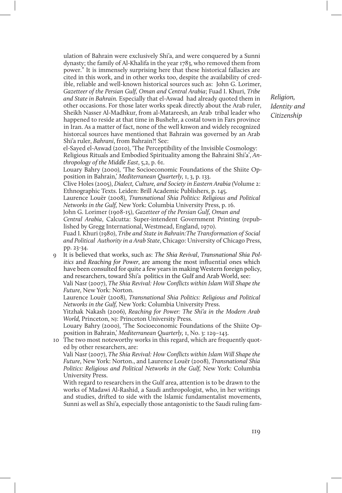ulation of Bahrain were exclusively Shi'a, and were conquered by a Sunni dynasty; the family of Al-Khalifa in the year 1783, who removed them from power." It is immensely surprising here that these historical fallacies are cited in this work, and in other works too, despite the availability of credible, reliable and well-known historical sources such as: John G. Lorimer, Gazetteer of the Persian Gulf, Oman and Central Arabia; Fuad I. Khuri, Tribe and State in Bahrain. Especially that el-Aswad had already quoted them in other occasions. For those later works speak directly about the Arab ruler, Sheikh Nasser Al-Madhkur, from al-Matareesh, an Arab tribal leader who happened to reside at that time in Bushehr, a costal town in Fars province in Iran. As a matter of fact, none of the well knwon and widely recognized historcal sources have mentioned that Bahrain was governed by an Arab Shi'a ruler, Bahrani, from Bahrain?! See:

el-Sayed el-Aswad (2010), 'The Perceptibility of the Invisible Cosmology: Religious Rituals and Embodied Spirituality among the Bahraini Shi'a', Anthropology of the Middle East, 5,2, p. 61.

Louary Bahry (2000), 'The Socioeconomic Foundations of the Shiite Opposition in Bahrain,' Mediterranean Quarterly, 1, 3, p. 133.

Clive Holes (2005), Dialect, Culture, and Society in Eastern Arabia (Volume 2: Ethnographic Texts. Leiden: Brill Academic Publishers, p. 145.

Laurence Louër (2008), Transnational Shia Politics: Religious and Political Networks in the Gulf, New York: Columbia University Press, p. 16.

John G. Lorimer (1908-15), Gazetteer of the Persian Gulf, Oman and

Central Arabia, Calcutta: Super-intendent Government Printing (republished by Gregg International, Westmead, England, 1970).

Fuad I. Khuri (1980), Tribe and State in Bahrain:The Transformation of Social and Political Authority in a Arab State, Chicago: University of Chicago Press, pp. 23-34.

9 It is believed that works, such as: The Shia Revival, Transnational Shia Politics and Reaching for Power, are among the most influential ones which have been consulted for quite a few years in making Western foreign policy, and researchers, toward Shi'a politics in the Gulf and Arab World, see:

Vali Nasr (2007), The Shia Revival: How Conflicts within Islam Will Shape the Future, New York: Norton.

Laurence Louër (2008), Transnational Shia Politics: Religious and Political Networks in the Gulf, New York: Columbia University Press.

Yitzhak Nakash (2006), Reaching for Power: The Shi'a in the Modern Arab World, Princeton, nj: Princeton University Press.

Louary Bahry (2000), 'The Socioeconomic Foundations of the Shiite Opposition in Bahrain,' Mediterranean Quarterly, 1, No. 3: 129–143.

10 The two most noteworthy works in this regard, which are frequently quoted by other researchers, are:

Vali Nasr (2007), The Shia Revival: How Conflicts within Islam Will Shape the Future, New York: Norton., and Laurence Louër (2008), Transnational Shia Politics: Religious and Political Networks in the Gulf, New York: Columbia University Press.

With regard to researchers in the Gulf area, attention is to be drawn to the works of Madawi Al-Rashid, a Saudi anthropologist, who, in her writings and studies, drifted to side with the Islamic fundamentalist movements, Sunni as well as Shi'a, especially those antagonistic to the Saudi ruling fam-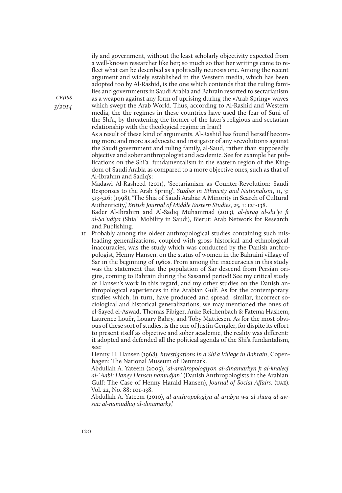ily and government, without the least scholarly objectivity expected from a well-known researcher like her; so much so that her writings came to reflect what can be described as a politically neurosis one. Among the recent argument and widely established in the Western media, which has been adopted too by Al-Rashid, is the one which contends that the ruling families and governments in Saudi Arabia and Bahrain resorted to sectarianism as a weapon against any form of uprising during the «Arab Spring» waves which swept the Arab World. Thus, according to Al-Rashid and Western media, the the regimes in these countries have used the fear of Suni of the Shi'a, by threatening the former of the later's religious and sectarian relationship with the theological regime in Iran!!

As a result of these kind of arguments, Al-Rashid has found herself becoming more and more as advocate and instigator of any «revolution» against the Saudi government and ruling family, al-Saud, rather than supposedly objective and sober anthropologist and academic. See for example her publications on the Shi'a fundamentalism in the eastern region of the Kingdom of Saudi Arabia as compared to a more objective ones, such as that of Al-Ibrahim and Sadiq's:

Madawi Al-Rasheed (2011), 'Sectarianism as Counter-Revolution: Saudi Responses to the Arab Spring', Studies in Ethnicity and Nationalism, 11, 3: 513-526; (1998), 'The Shia of Saudi Arabia: A Minority in Search of Cultural Authenticity,' British Journal of Middle Eastern Studies, 25, 1: 121-138.

Bader Al-Ibrahim and Al-Sadiq Muhammad (2013), al-*ḥ*iraq al-shi*ʿ*yi fi al-Sa*ʿ*udiya (Shiaʿ Mobility in Saudi), Bierut: Arab Network for Research and Publishing.

11 Probably among the oldest anthropological studies containing such misleading generalizations, coupled with gross historical and ethnological inaccuracies, was the study which was conducted by the Danish anthropologist, Henny Hansen, on the status of women in the Bahraini village of Sar in the beginning of 1960s. From among the inaccuracies in this study was the statement that the population of Sar descend from Persian origins, coming to Bahrain during the Sassanid period! See my critical study of Hansen's work in this regard, and my other studies on the Danish anthropological experiences in the Arabian Gulf. As for the contemporary studies which, in turn, have produced and spread similar, incorrect sociological and historical generalizations, we may mentioned the ones of el-Sayed el-Aswad, Thomas Fibiger, Anke Reichenbach & Fatema Hashem, Laurence Louër, Louary Bahry, and Toby Mattiesen. As for the most obvious of these sort of studies, is the one of Justin Gengler, for dispite its effort to present itself as objective and sober academic, the reality was different: it adopted and defended all the political agenda of the Shi'a fundantalism, see:

Henny H. Hansen (1968), Investigations in a Shi'a Village in Bahrain, Copenhagen: The National Museum of Denmark.

Abdullah A. Yateem (2005), 'al-anthropologiyon al-dinamarkyn fi al-khaleej al-ʿAabi: Haney Hensen namudjan,' (Danish Anthropologists in the Arabian Gulf: The Case of Henny Harald Hansen), Journal of Social Affairs. (uae). Vol. 22, No. 88: 101-138.

Abdullah A. Yateem (2010), al-anthropologiya al-urubya wa al-sharq al-awsat: al-namudhaj al-dinamarky,'

**CEJISS** 3/2014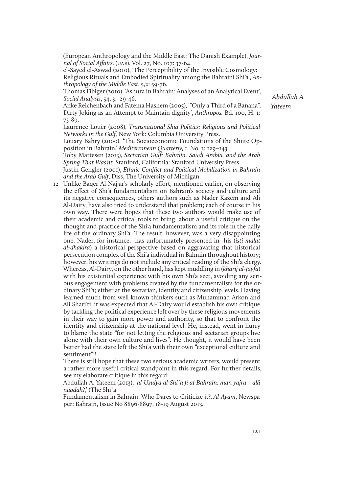(European Anthropology and the Middle East: The Danish Example), Journal of Social Affairs. (uae). Vol. 27, No. 107: 37-64.

el-Sayed el-Aswad (2010), 'The Perceptibility of the Invisible Cosmology: Religious Rituals and Embodied Spirituality among the Bahraini Shi'a', Anthropology of the Middle East, 5,2: 59-76.

Thomas Fibiger (2010), 'Ashura in Bahrain: Analyses of an Analytical Event', Social Analysis, 54, 3: 29-46.

Anke Reichenbach and Fatema Hashem (2005), '"Only a Third of a Banana". Dirty Joking as an Attempt to Maintain dignity', Anthropos. Bd. 100, H. 1: 73-89.

Laurence Louër (2008), Transnational Shia Politics: Religious and Political Networks in the Gulf, New York: Columbia University Press.

Louary Bahry (2000), 'The Socioeconomic Foundations of the Shiite Opposition in Bahrain,' Mediterranean Quarterly, 1, No. 3: 129–143.

Toby Mattesen (2013), Sectarian Gulf: Bahrain, Saudi Arabia, and the Arab Spring That Was'nt. Stanford, California: Stanford University Press.

Justin Gengler (2001), Ethnic Conflict and Political Mobilization in Bahrain and the Arab Gulf, Diss, The University of Michigan.

12 Unlike Baqer Al-Najjar's scholarly effort, mentioned earlier, on observing the effect of Shi'a fundamentalism on Bahrain's society and culture and its negative consequences, others authors such as Nader Kazem and Ali Al-Dairy, have also tried to understand that problem; each of course in his own way. There were hopes that these two authors would make use of their academic and critical tools to bring about a useful critique on the thought and practice of the Shi'a fundamentalism and its role in the daily life of the ordinary Shi'a. The result, however, was a very disappointing one. Nader, for instance, has unfortunately presented in his (istiʿmalat al-dhakira) a historical perspective based on aggravating that historical persecution complex of the Shi'a individual in Bahrain throughout history; however, his writings do not include any critical reading of the Shi'a clergy. Whereas, Al-Dairy, on the other hand, has kept muddling in (kharij al-*ṭ*ayfa) with his existential experience with his own Shi'a sect, avoiding any serious engagement with problems created by the fundamentalists for the ordinary Shi'a; either at the sectarian, identity and citizenship levels. Having learned much from well known thinkers such as Muhammad Arkon and Ali Shari'ti, it was expected that Al-Dairy would establish his own critique by tackling the political experience left over by these religious movements in their way to gain more power and authority, so that to confront the identity and citizenship at the national level. He, instead, went in hurry to blame the state "for not letting the religious and sectarian groups live alone with their own culture and lives". He thought, it would have been better had the state left the Shi'a with their own "exceptional culture and sentiment"!!

There is still hope that these two serious academic writers, would present a rather more useful critical standpoint in this regard. For further details, see my elaborate critique in this regard:

Abdullah A. Yateem (2013), al-U*ṣ*ulya al-Shi*ʿ*a fi al-Bahrain: man yajru*ʾ ʿ*alā naqdah?,' (The Shiʿa

Fundamentalism in Bahrain: Who Dares to Criticize it?, Al-Ayam, Newspaper: Bahrain, Issue No 8896-8897, 18-19 August 2013.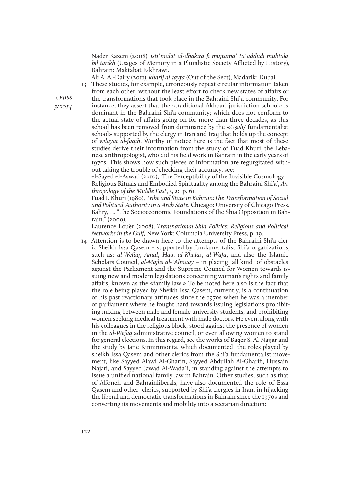Nader Kazem (2008), istiʿmalat al-dhakira fi mujtamaʿ taʿaddudi mubtala bil tarikh (Usages of Memory in a Pluralistic Society Afflicted by History), Bahrain: Maktabat Fakhrawi.

Ali A. Al-Dairy (2011), kharij al*-ṭ*ayfa (Out of the Sect), Madarik: Dubai.

13 These studies, for example, erroneously repeat circular information taken from each other, without the least effort to check new states of affairs or the transformations that took place in the Bahraini Shi'a community. For instance, they assert that the «traditional Akhbari jurisdiction school» is dominant in the Bahraini Shi'a community; which does not conform to the actual state of affairs going on for more than three decades, as this school has been removed from dominance by the «Uṣuli/ fundamentalist school» supported by the clergy in Iran and Iraq that holds up the concept of wilayat al-faqih. Worthy of notice here is the fact that most of these studies derive their information from the study of Fuad Khuri, the Lebanese anthropologist, who did his field work in Bahrain in the early years of 1970s. This shows how such pieces of information are regurgitated without taking the trouble of checking their accuracy, see:

el-Sayed el-Aswad (2010), 'The Perceptibility of the Invisible Cosmology: Religious Rituals and Embodied Spirituality among the Bahraini Shi'a', Anthropology of the Middle East, 5, 2: p. 61.

Fuad I. Khuri (1980), Tribe and State in Bahrain:The Transformation of Social and Political Authority in a Arab State, Chicago: University of Chicago Press. Bahry, L. "The Socioeconomic Foundations of the Shia Opposition in Bahrain," (2000).

Laurence Louër (2008), Transnational Shia Politics: Religious and Political Networks in the Gulf, New York: Columbia University Press, p. 19.

14 Attention is to be drawn here to the attempts of the Bahraini Shi'a cleric Sheikh Issa Qasem – supported by fundamentalist Shi'a organizations, such as: al-Wefaq, Amal, Haq, al-Khalas, al-Wafa, and also the Islamic Scholars Council, al-Majlis al-*ʿ*Almaay – in placing all kind of obstacles against the Parliament and the Supreme Council for Women towards issuing new and modern legislations concerning woman's rights and family affairs, known as the «family law.» To be noted here also is the fact that the role being played by Sheikh Issa Qasem, currently, is a continuation of his past reactionary attitudes since the 1970s when he was a member of parliament where he fought hard towards issuing legislations prohibiting mixing between male and female university students, and prohibiting women seeking medical treatment with male doctors. He even, along with his colleagues in the religious block, stood against the presence of women in the al-Wefaq administrative council, or even allowing women to stand for general elections. In this regard, see the works of Baqer S. Al-Najjar and the study by Jane Kinninmonta, which documented the roles played by sheikh Issa Qasem and other clerics from the Shi'a fundamentalist movement, like Sayyed Alawi Al-Gharifi, Sayyed Abdullah Al-Gharifi, Hussain Najati, and Sayyed Jawad Al-Wadaʿi, in standing against the attempts to issue a unified national family law in Bahrain. Other studies, such as that of Alfoneh and Bahrainliberals, have also documented the role of Essa Qasem and other clerics, supported by Shi'a clergies in Iran, in hijacking the liberal and democratic transformations in Bahrain since the 1970s and converting its movements and mobility into a sectarian direction:

**CEJISS** 3/2014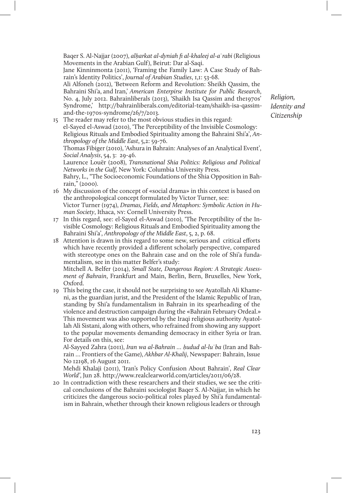Baqer S. Al-Najjar (2007), al*ḥ*arkat al-dyniah fi al-khaleej al-aʿrabi (Religious Movements in the Arabian Gulf), Beirut: Dar al-Saqi.

Jane Kinninmonta (2011), 'Framing the Family Law: A Case Study of Bahrain's Identity Politics', Journal of Arabian Studies, 1,1: 53-68.

Ali Alfoneh (2012), 'Between Reform and Revolution: Sheikh Qassim, the Bahraini Shi'a, and Iran,' American Enterpirse Institute for Public Research, No. 4, July 2012. Bahrainliberals (2013), 'Shaikh Isa Qassim and the1970s' Syndrome,' http://bahrainliberals.com/editorial-team/shaikh-isa-qassimand-the-1970s-syndrome/26/7/2013.

15 The reader may refer to the most obvious studies in this regard: el-Sayed el-Aswad (2010), 'The Perceptibility of the Invisible Cosmology: Religious Rituals and Embodied Spirituality among the Bahraini Shi'a', Anthropology of the Middle East, 5,2: 59-76. Thomas Fibiger (2010), 'Ashura in Bahrain: Analyses of an Analytical Event',

Social Analysis, 54, 3: 29-46.

Laurence Louër (2008), Transnational Shia Politics: Religious and Political Networks in the Gulf, New York: Columbia University Press.

Bahry, L., "The Socioeconomic Foundations of the Shia Opposition in Bahrain," (2000).

- 16 My discussion of the concept of «social drama» in this context is based on the anthropological concept formulated by Victor Turner, see: Victor Turner (1974), Dramas, Fields, and Metaphors: Symbolic Action in Human Society, Ithaca, ny: Cornell University Press.
- 17 In this regard, see: el-Sayed el-Aswad (2010), 'The Perceptibility of the Invisible Cosmology: Religious Rituals and Embodied Spirituality among the Bahraini Shi'a', Anthropology of the Middle East, 5, 2, p. 68.
- 18 Attention is drawn in this regard to some new, serious and critical efforts which have recently provided a different scholarly perspective, compared with stereotype ones on the Bahrain case and on the role of Shi'a fundamentalism, see in this matter Belfer's study:

Mitchell A. Belfer (2014), Small State, Dangerous Region: A Strategic Assessment of Bahrain, Frankfurt and Main, Berlin, Bern, Bruxelles, New York, Oxford.

19 This being the case, it should not be surprising to see Ayatollah Ali Khameni, as the guardian jurist, and the President of the Islamic Republic of Iran, standing by Shi'a fundamentalism in Bahrain in its spearheading of the violence and destruction campaign during the «Bahrain February Ordeal.» This movement was also supported by the Iraqi religious authority Ayatollah Ali Sistani, along with others, who refrained from showing any support to the popular movements demanding democracy in either Syria or Iran. For details on this, see:

Al-Sayyed Zahra (2011), Iran wa al-Bahrain … *ḥ*udud al-luʿba (Iran and Bahrain … Frontiers of the Game), Akhbar Al-Khalij, Newspaper: Bahrain, Issue No 12198, 16 August 2011.

Mehdi Khalaji (2011), 'Iran's Policy Confusion About Bahrain', Real Clear World', Jun 28. http://www.realclearworld.com/articles/2011/06/28.

20 In contradiction with these researchers and their studies, we see the critical conclusions of the Bahraini sociologist Baqer S. Al-Najjar, in which he criticizes the dangerous socio-political roles played by Shi'a fundamentalism in Bahrain, whether through their known religious leaders or through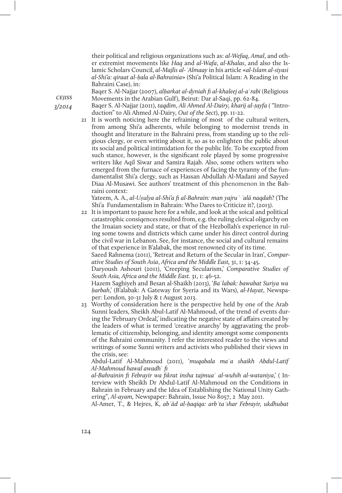their political and religious organizations such as: al-Wefaq, Amal, and other extremist movements like Haq and al-Wafa, al-Khalas, and also the Islamic Scholars Council, al-Majlis al-*ʿ*Almaay in his article «al-Islam al-siyasi al-Shi'a: qiraat al-*ḥ*ala al-Bahrainia» (Shi'a Political Islam: A Reading in the Bahraini Case), in:

Baqer S. Al-Najjar (2007), al*ḥ*arkat al-dyniah fi al-khaleej al-aʿrabi (Religious Movements in the Arabian Gulf), Beirut: Dar al-Saqi, pp. 62-84.

Baqer S. Al-Najjar (2011), taqdim, Ali Ahmed Al-Dairy, kharij al-*ṭ*ayfa ( "Introduction" to Ali Ahmed Al-Dairy, Out of the Sect), pp. 11-22.

21 It is worth noticing here the refraining of most of the cultural writers, from among Shi'a adherents, while belonging to modernist trends in thought and literature in the Bahraini press, from standing up to the religious clergy, or even writing about it, so as to enlighten the public about its social and political intimidation for the public life. To be excepted from such stance, however, is the significant role played by some progressive writers like Aqil Siwar and Samira Rajab. Also, some others writers who emerged from the furnace of experiences of facing the tyranny of the fundamentalist Shi'a clergy, such as Hassan Abdullah Al-Madani and Sayyed Diaa Al-Musawi. See authors' treatment of this phenomenon in the Bahraini context:

Yateem, A. A., al-U*ṣ*ulya al-Shi'a fi al-Bahrain: man yajru*ʾ ʿ*alā naqdah? (The Shi'a Fundamentalism in Bahrain: Who Dares to Criticize it?, (2013).

22 It is important to pause here for a while, and look at the soical and political catastrophic consiqences resulted from, e.g. the ruling clerical oligarchy on the Irnaian society and state, or that of the Hezbollah's experience in ruling some towns and districts which came under his direct control during the civil war in Lebanon. See, for instance, the social and cultural remains of that experience in B'alabak, the most renowned city of its time.

Saeed Rahnema (2011), 'Retreat and Return of the Secular in Iran', Comparative Studies of South Asia, Africa and the Middle East, 31, 1: 34-45.

Daryoush Ashouri (2011), 'Creeping Secularism,' Comparative Studies of South Asia, Africa and the Middle East. 31, 1: 46-52.

Hazem Saghiyeh and Besan al-Shaikh (2013), 'Baʿlabak: bawabat Suriya wa *ḥ*arbah,' (B'alabak: A Gateway for Syeria and its Wars), al-Hayat, Newspaper: London, 30-31 July & 1 August 2013.

23 Worthy of consideration here is the perspective held by one of the Arab Sunni leaders, Sheikh Abul-Latif Al-Mahmoud, of the trend of events during the 'February Ordeal,' indicating the negative state of affairs created by the leaders of what is termed 'creative anarchy' by aggravating the problematic of citizenship, belonging, and identity amongst some components of the Bahraini community. I refer the interested reader to the views and writings of some Sunni writers and activists who published their views in the crisis, see:

Abdul-Latif Al-Mahmoud (2011), 'muqabala maʿa shaikh Abdul-Latif Al-Mahmoud hawal awadhʿ fi

al-Bahrainin fi Febrayir wa fikrat insha tajmuaʿ al-wuhih al-wataniya,' ( Interview with Sheikh Dr Abdul-Latif Al-Mahmoud on the Conditions in Bahrain in February and the Idea of Establishing the National Unity Gathering", Al-ayam, Newspaper: Bahrain, Issue No 8057, 2 May 2011.

Al-Amer, T., & Hejres, K, ab*ʿ*ād al-*ḥ*aqiqa: arb*ʿ*ta*ʿ*shar Febrayir, ukdhubat

**CEJISS** 3/2014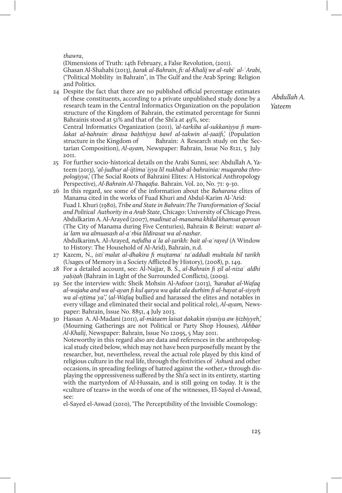thawra,

see:

(Dimensions of Truth: 14th February, a False Revolution, (2011). Ghasan Al-Shahabi (2013), *harak al-Bahrain, fi: al-Khalij we al-rabi* al-`Arabi, ("Political Mobility in Bahrain", in The Gulf and the Arab Spring: Religion and Politics.

24 Despite the fact that there are no published official percentage estimates of these constituents, according to a private unpublished study done by a research team in the Central Informatics Organization on the population structure of the Kingdom of Bahrain, the estimated percentage for Sunni Bahrainis stood at 51% and that of the Shi'a at 49%, see:

Central Informatics Organization (2011), 'al-tarkiba al-sukkaniyya fi mamlakat al-bahrain: dirasa ba*ḥ*thiyya *ḥ*awl al-takwin al-*ṭ*aaifi,' (Population structure in the Kingdom of Bahrain: A Research study on the Sectarian Composition), Al-ayam, Newspaper: Bahrain, Issue No 8121, 5 July 2011.

- 25 For further socio-historical details on the Arabi Sunni, see: Abdullah A. Yateem (2013), 'al-judhur al-ijtimaʿiyya lil nukhab al-bahrainia: muqaraba thropologiyya,' (The Social Roots of Bahraini Elites: A Historical Anthropology Perspective), Al-Bahrain Al-Thaqafia. Bahrain. Vol. 20, No. 71: 9-30.
- 26 In this regard, see some of the information about the Baharana elites of Manama cited in the works of Fuad Khuri and Abdul-Karim Al-'Arid: Fuad I. Khuri (1980), Tribe and State in Bahrain:The Transformation of Social and Political Authority in a Arab State, Chicago: University of Chicago Press. Abdulkarim A. Al-Arayed (2007), madinat al-manama khilal khamsat qoroun (The City of Manama during Five Centuries), Bahrain & Beirut: wazart aliaʿlam wa almuasash al-aʿrbia lildirasat wa al-nashar. AbdulkarimA. Al-Arayed, nafidha aʿla al-*ṭ*arikh: bait al-aʿraye*ḍ* (A Window

to History: The Household of Al-Arid), Bahrain, n.d.

- 27 Kazem, N., istiʿmalat al-dhakira fi mujtamaʿ taʿaddudi mubtala bil tarikh (Usages of Memory in a Society Aficted by History), (2008), p. 149.
- 28 For a detailed account, see: Al-Najjar, B. S., al-Bahrain fi ẓil al-nizaʿ aldhi ya*ḥiṭ*ah (Bahrain in Light of the Surrounded Conflicts), (2009).
- 29 See the interview with: Sheik Mohsin Al-Asfoor (2013), 'harabat al-Wafaq al-wajaha and wa al-ayan fi kul qarya wa qdat ala durhim fi al-hayat al-siysyh wa al-ejtima*ʿ*ya',' (al-Wafaq bullied and harassed the elites and notables in every village and eliminated their social and political role), Al-ayam, Newspaper: Bahrain, Issue No. 8851, 4 July 2013.

30 Hassan A. Al-Madani (2011), al-mātaem laisat dakakin siyasiya aw *ḥ*izbiyyeh,' (Mourning Gatherings are not Political or Party Shop Houses), Akhbar Al-Khalij, Newspaper: Bahrain, Issue No 12095, 5 May 2011. Noteworthy in this regard also are data and references in the anthropological study cited below, which may not have been purposefully meant by the researcher, but, nevertheless, reveal the actual role played by this kind of religious culture in the real life, through the festivities of *ʿ*Ashurā and other occasions, in spreading feelings of hatred against the «other,» through displaying the oppressiveness suffered by the Shi'a sect in its entirety, starting with the martyrdom of Al-Hussain, and is still going on today. It is the «culture of tears» in the words of one of the witnesses, El-Sayed el-Aswad,

el-Sayed el-Aswad (2010), 'The Perceptibility of the Invisible Cosmology: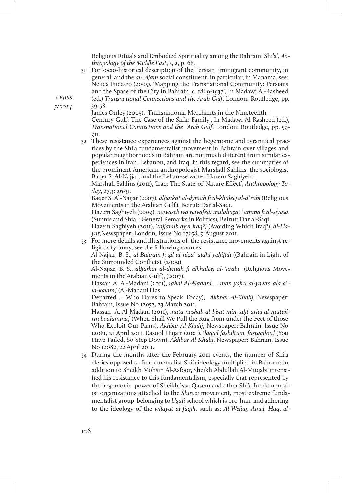Religious Rituals and Embodied Spirituality among the Bahraini Shi'a', Anthropology of the Middle East, 5, 2, p. 68.

31 For socio-historical description of the Persian immigrant community, in general, and the al-*ʿ*Ajam social constituent, in particular, in Manama, see: Nelida Fuccaro (2005), 'Mapping the Transnational Community: Persians and the Space of the City in Bahrain, c. 1869-1937', In Madawi Al-Rasheed (ed.) Transnational Connections and the Arab Gulf, London: Routledge, pp. 39-58.

James Onley (2005), 'Transnational Merchants in the Nineteenth-Century Gulf: The Case of the Safar Family', In Madawi Al-Rasheed (ed.), Transnational Connections and the Arab Gulf. London: Routledge, pp. 59-  $00.$ 

32 These resistance experiences against the hegemonic and tyrannical practices by the Shi'a fundamentalist movement in Bahrain over villages and popular neighborhoods in Bahrain are not much different from similar experiences in Iran, Lebanon, and Iraq. In this regard, see the summaries of the prominent American anthropologist Marshall Sahlins, the sociologist Baqer S. Al-Najjar, and the Lebanese writer Hazem Saghiyeh:

Marshall Sahlins (2011), 'Iraq: The State-of-Nature Effect', Anthropology Today, 27,3: 26-31.

Baqer S. Al-Najjar (2007), al*ḥ*arkat al-dyniah fi al-khaleej al-aʿrabi (Religious Movements in the Arabian Gulf), Beirut: Dar al-Saqi.

Hazem Saghiyeh (2009), nawa*ṣ*eb wa rawafe*ḍ*: mulaha*ẓ*at ʿamma fi al-siyasa (Sunnis and Shiaʿ: General Remarks in Politics), Beirut: Dar al-Saqi.

Hazem Saghiyeh (2011), 'tajjanub ayyi Iraq?' (Avoiding Which Iraq?), al-Hayat,Newspaper: London, Issue No 17658, 9 August 2011.

33 For more details and illustrations of the resistance movements against religious tyranny, see the following sources:

Al-Najjar, B. S., al-Bahrain fi ẓil al-nizaʿ aldhi ya*ḥ*i*ṭ*ah ((Bahrain in Light of the Surrounded Conflicts), (2009).

Al-Najjar, B. S., al*ḥ*arkat al-dyniah fi alkhaleej al-*ʿ*arabi (Religious Movements in the Arabian Gulf), (2007).

Hassan A. Al-Madani (2011), ra*ḥ*al Al-Madani … man yajru al-yawm ala aʿla-kalam,' (Al-Madani Has

Departed … Who Dares to Speak Today), Akhbar Al-Khalij, Newspaper: Bahrain, Issue No 12052, 23 March 2011.

Hassan A. Al-Madani (2011), mata nas*ḥ*ab al-bisat min ta*ḥ*t arjul al-mutajirin bi alamina,' (When Shall We Pull the Rug from under the Feet of those Who Exploit Our Pains), Akhbar Al-Khalij, Newspaper: Bahrain, Issue No 12081, 21 April 2011. Rasool Hujair (2001), 'laqad fashiltum, fastaqilou,' (You Have Failed, So Step Down), Akhbar Al-Khalij, Newspaper: Bahrain, Issue No 12082, 22 April 2011.

34 During the months after the February 2011 events, the number of Shi'a clerics opposed to fundamentalist Shi'a ideology multiplied in Bahrain; in addition to Sheikh Mohsin Al-Asfoor, Sheikh Abdullah Al-Muqabi intensified his resistance to this fundamentalism, especially that represented by the hegemonic power of Sheikh Issa Qasem and other Shi'a fundamentalist organizations attached to the Shirazi movement, most extreme fundamentalist group belonging to Uṣuli school which is pro-Iran and adhering to the ideology of the wilayat al-faqih, such as: Al-Wefaq, Amal, Haq, al-

**CEJISS** 3/2014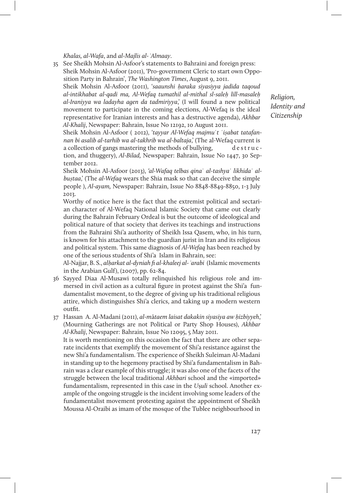Khalas, al-Wafa, and al-Majlis al-*ʿ*Almaay.

35 See Sheikh Mohsin Al-Asfoor's statements to Bahraini and foreign press: Sheik Mohsin Al-Asfoor (2011), 'Pro-government Cleric to start own Opposition Party in Bahrain', The Washington Times, August 9, 2011.

Sheik Mohsin Al-Asfoor (2011), 'saaunshi *ḥ*araka siyasiyya jadida taqoud al-intikhabat al-qadi ma, Al-Wefaq tumathil al-mithal sl-sale*ḥ* lill-masale*ḥ*  al-Iraniyya wa ladayha agen da tadmiriyya,' (I will found a new political movement to participate in the coming elections, Al-Wefaq is the ideal representative for Iranian interests and has a destructive agenda), Akhbar Al-Khalij, Newspaper: Bahrain, Issue No 12192, 10 August 2011.

Sheik Mohsin Al-Asfoor ( 2012), 'tayyar Al-Wefaq majmuʿt ʿi*ṣ*abat tatafannan bi asalib al-tarhib wa al-takhrib wa al-baltaja,' (The al-Wefaq current is a collection of gangs mastering the methods of bullying, destruction, and thuggery), Al-Bilad, Newspaper: Bahrain, Issue No 1447, 30 September 2012.

Sheik Mohsin Al-Asfoor (2013), 'al-Wafaq telbas qina` al-tashya` likhida` albu*ṣ*taa,' (The al-Wefaq wears the Shia mask so that can deceive the simple people ), Al-ayam, Newspaper: Bahrain, Issue No 8848-8849-8850, 1-3 July 2013.

Worthy of notice here is the fact that the extremist political and sectarian character of Al-Wefaq National Islamic Society that came out clearly during the Bahrain February Ordeal is but the outcome of ideological and political nature of that society that derives its teachings and instructions from the Bahraini Shi'a authority of Sheikh Issa Qasem, who, in his turn, is known for his attachment to the guardian jurist in Iran and its religious and political system. This same diagnosis of Al-Wefaq has been reached by one of the serious students of Shi'a Islam in Bahrain, see:

Al-Najjar, B. S., al*ḥ*arkat al-dyniah fi al-khaleej al-*ʿ*arabi (Islamic movements in the Arabian Gulf), (2007), pp. 62-84.

36 Sayyed Diaa Al-Musawi totally relinquished his religious role and immersed in civil action as a cultural figure in protest against the Shi'a fundamentalist movement, to the degree of giving up his traditional religious attire, which distinguishes Shi'a clerics, and taking up a modern western outfit.

37 Hassan A. Al-Madani (2011), al-mātaem laisat dakakin siyasiya aw *ḥ*izbiyyeh,' (Mourning Gatherings are not Political or Party Shop Houses), Akhbar Al-Khalij, Newspaper: Bahrain, Issue No 12095, 5 May 2011.

It is worth mentioning on this occasion the fact that there are other separate incidents that exemplify the movement of Shi'a resistance against the new Shi'a fundamentalism. The experience of Sheikh Suleiman Al-Madani in standing up to the hegemony practised by Shi'a fundamentalism in Bahrain was a clear example of this struggle; it was also one of the facets of the struggle between the local traditional Akhbari school and the «imported» fundamentalism, represented in this case in the Usuli school. Another example of the ongoing struggle is the incident involving some leaders of the fundamentalist movement protesting against the appointment of Sheikh Moussa Al-Oraibi as imam of the mosque of the Tublee neighbourhood in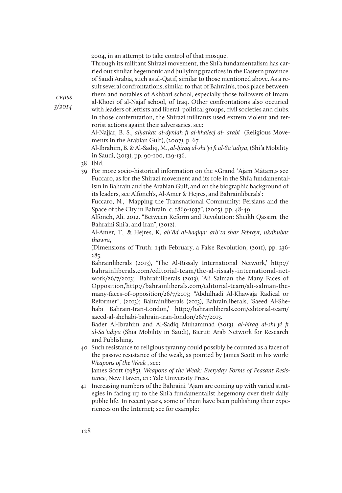2004, in an attempt to take control of that mosque.

Through its militant Shirazi movement, the Shi'a fundamentalism has carried out simliar hegemonic and bullyinng practices in the Eastern province of Saudi Arabia, such as al-Qatif, similar to those mentioned above. As a result several confrontations, similar to that of Bahrain's, took place between them and notables of Akhbari school, especially those followers of Imam

al-Khoei of al-Najaf school, of Iraq. Other confrontations also occuried with leaders of leftists and liberal political groups, civil societies and clubs. In those conferntation, the Shirazi militants used extrem violent and terrorist actions againt their adversaries. see:

Al-Najjar, B. S., al*ḥ*arkat al-dyniah fi al-khaleej al-*ʿ*arabi (Religious Movements in the Arabian Gulf), (2007), p. 67.

Al-Ibrahim, B. & Al-Sadiq, M., al-*ḥ*iraq al-shi*ʿ*yi fi al-Sa*ʿ*udiya, (Shi'a Mobility in Saudi, (3013), pp. 90-100, 129-136.

- 38 Ibid.
- 39 For more socio-historical information on the «Grand ʿAjam Mātam,» see Fuccaro, as for the Shirazi movement and its role in the Shi'a fundamentalism in Bahrain and the Arabian Gulf, and on the biographic background of its leaders, see Alfoneh's, Al-Amer & Hejres, and Bahrainliberals':

Fuccaro, N., "Mapping the Transnational Community: Persians and the Space of the City in Bahrain, c. 1869-1937", (2005), pp. 48-49.

Alfoneh, Ali. 2012. "Between Reform and Revolution: Sheikh Qassim, the Bahraini Shi'a, and Iran", (2012).

Al-Amer, T., & Hejres, K, ab*ʿ*ād al-*ḥ*aqiqa: arb*ʿ*ta*ʿ*shar Febrayr, ukdhubat thawra,

(Dimensions of Truth: 14th February, a False Revolution, (2011), pp. 236- 285.

Bahrainliberals (2013), 'The Al-Rissaly International Network,' http:// bahrainliberals.com/editorial-team/the-al-rissaly-international-network/26/7/2013; "Bahrainliberals (2013), 'Ali Salman the Many Faces of Opposition,'http://bahrainliberals.com/editorial-team/ali-salman-themany-faces-of-opposition/26/7/2013; "Abdulhadi Al-Khawaja Radical or Reformer", (2013); Bahrainliberals (2013), Bahrainliberals, 'Saeed Al-Shehabi Bahrain-Iran-London,' http://bahrainliberals.com/editorial-team/ saeed-al-shehabi-bahrain-iran-london/26/7/2013.

Bader Al-Ibrahim and Al-Sadiq Muhammad (2013), al-*ḥ*iraq al-shi*ʿ*yi fi al-Sa*ʿ*udiya (Shia Mobility in Saudi), Bierut: Arab Network for Research and Publishing.

40 Such resistance to religious tyranny could possibly be counted as a facet of the passive resistance of the weak, as pointed by James Scott in his work: Weapons of the Weak , see:

James Scott (1985), Weapons of the Weak: Everyday Forms of Peasant Resistance, New Haven, CT: Yale University Press.

41 Increasing numbers of the Bahraini ʿAjam are coming up with varied strategies in facing up to the Shi'a fundamentalist hegemony over their daily public life. In recent years, some of them have been publishing their experiences on the Internet; see for example:

**CEJISS** 3/2014